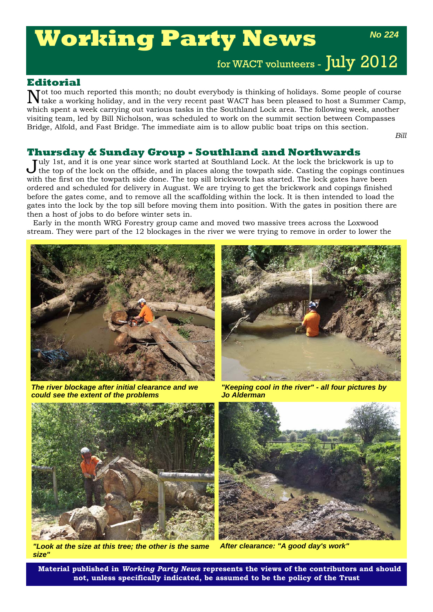# **Working Party News**

*No 224*

for WACT volunteers - July 2012

# **Editorial**

Not too much reported this month; no doubt everybody is thinking of holidays. Some people of course take a working holiday, and in the very recent past WACT has been pleased to host a Summer Camp, which spent a week carrying out various tasks in the Southland Lock area. The following week, another visiting team, led by Bill Nicholson, was scheduled to work on the summit section between Compasses Bridge, Alfold, and Fast Bridge. The immediate aim is to allow public boat trips on this section.

*Bill*

## **Thursday & Sunday Group - Southland and Northwards**

Iuly 1st, and it is one year since work started at Southland Lock. At the lock the brickwork is up to the top of the lock on the offside, and in places along the towpath side. Casting the copings continues with the first on the towpath side done. The top sill brickwork has started. The lock gates have been ordered and scheduled for delivery in August. We are trying to get the brickwork and copings finished before the gates come, and to remove all the scaffolding within the lock. It is then intended to load the gates into the lock by the top sill before moving them into position. With the gates in position there are then a host of jobs to do before winter sets in.

Early in the month WRG Forestry group came and moved two massive trees across the Loxwood stream. They were part of the 12 blockages in the river we were trying to remove in order to lower the



*The river blockage after initial clearance and we could see the extent of the problems* 



*"Keeping cool in the river" - all four pictures by Jo Alderman*



*"Look at the size at this tree; the other is the same size"*



*After clearance: "A good day's work"*

**Material published in** *Working Party News* **represents the views of the contributors and should not, unless specifically indicated, be assumed to be the policy of the Trust**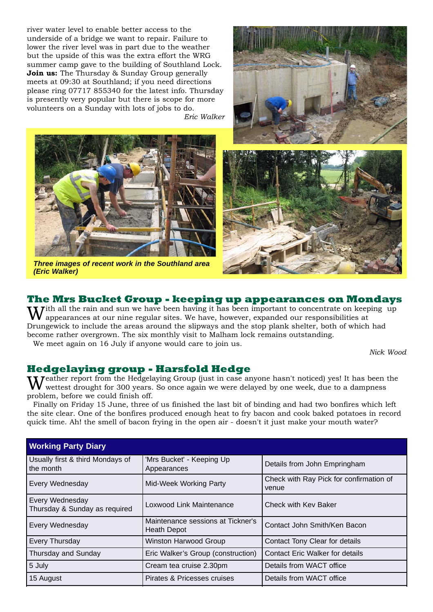river water level to enable better access to the underside of a bridge we want to repair. Failure to lower the river level was in part due to the weather but the upside of this was the extra effort the WRG summer camp gave to the building of Southland Lock. **Join us:** The Thursday & Sunday Group generally meets at 09:30 at Southland; if you need directions please ring 07717 855340 for the latest info. Thursday is presently very popular but there is scope for more volunteers on a Sunday with lots of jobs to do.

*Eric Walker*







#### *Three images of recent work in the Southland area (Eric Walker)*

# **The Mrs Bucket Group - keeping up appearances on Mondays**

Tith all the rain and sun we have been having it has been important to concentrate on keeping up appearances at our nine regular sites. We have, however, expanded our responsibilities at Drungewick to include the areas around the slipways and the stop plank shelter, both of which had become rather overgrown. The six monthly visit to Malham lock remains outstanding. We meet again on 16 July if anyone would care to join us.

*Nick Wood*

## **Hedgelaying group - Harsfold Hedge**

**Teather report from the Hedgelaying Group (just in case anyone hasn't noticed) yes! It has been the** wettest drought for 300 years. So once again we were delayed by one week, due to a dampness problem, before we could finish off.

Finally on Friday 15 June, three of us finished the last bit of binding and had two bonfires which left the site clear. One of the bonfires produced enough heat to fry bacon and cook baked potatoes in record quick time. Ah! the smell of bacon frying in the open air - doesn't it just make your mouth water?

| <b>Working Party Diary</b>                       |                                                                                   |                                |  |  |
|--------------------------------------------------|-----------------------------------------------------------------------------------|--------------------------------|--|--|
| Usually first & third Mondays of<br>the month    | 'Mrs Bucket' - Keeping Up<br>Details from John Empringham<br>Appearances          |                                |  |  |
| Every Wednesday                                  | Check with Ray Pick for confirmation of<br><b>Mid-Week Working Party</b><br>venue |                                |  |  |
| Every Wednesday<br>Thursday & Sunday as required | Loxwood Link Maintenance                                                          | Check with Key Baker           |  |  |
| Every Wednesday                                  | Maintenance sessions at Tickner's<br><b>Heath Depot</b>                           | Contact John Smith/Ken Bacon   |  |  |
| Every Thursday                                   | <b>Winston Harwood Group</b>                                                      | Contact Tony Clear for details |  |  |
| Thursday and Sunday                              | <b>Contact Eric Walker for details</b><br>Eric Walker's Group (construction)      |                                |  |  |
| 5 July                                           | Cream tea cruise 2.30pm                                                           | Details from WACT office       |  |  |
| 15 August                                        | Pirates & Pricesses cruises                                                       | Details from WACT office       |  |  |